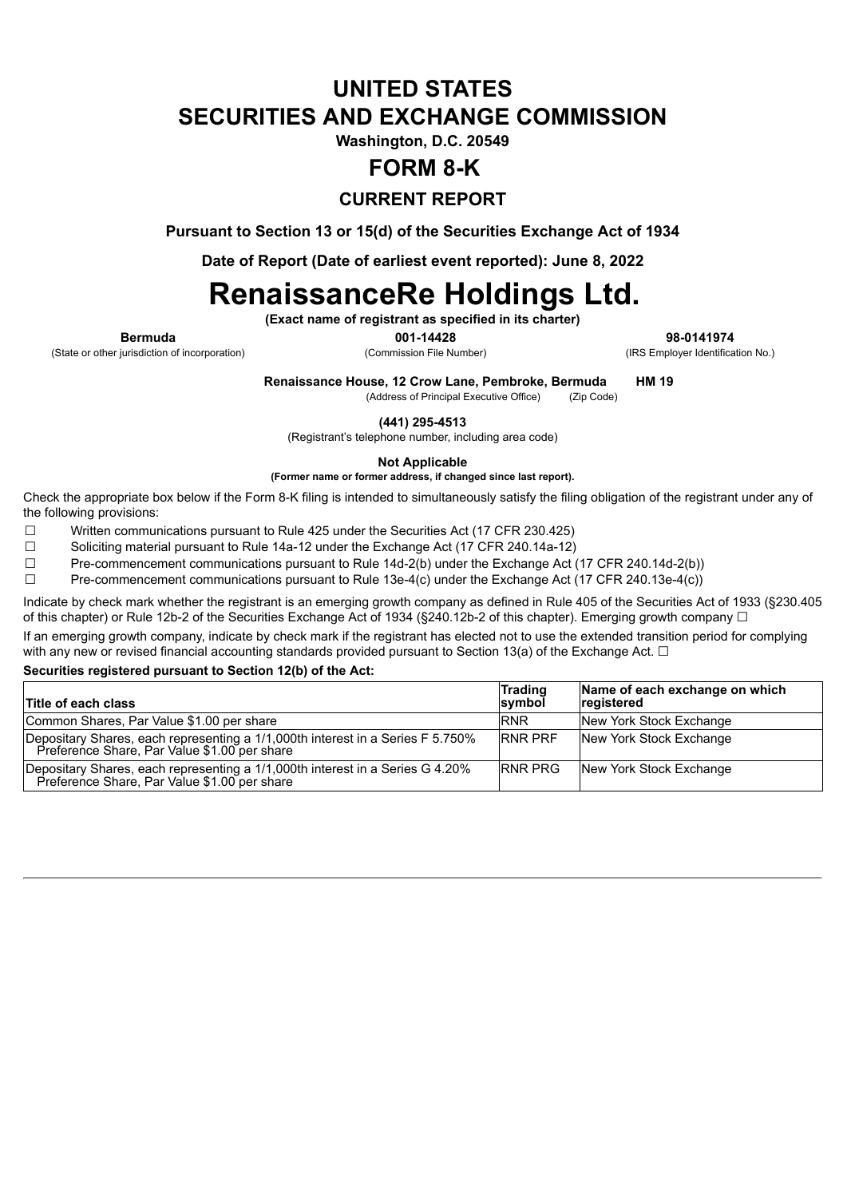## **UNITED STATES SECURITIES AND EXCHANGE COMMISSION**

**Washington, D.C. 20549**

## **FORM 8-K**

### **CURRENT REPORT**

**Pursuant to Section 13 or 15(d) of the Securities Exchange Act of 1934**

**Date of Report (Date of earliest event reported): June 8, 2022**

# **RenaissanceRe Holdings Ltd.**

**(Exact name of registrant as specified in its charter)**

**Bermuda 001-14428 98-0141974**

**Renaissance House, 12 Crow Lane, Pembroke, Bermuda HM 19**

(Address of Principal Executive Office) (Zip Code)

**(441) 295-4513**

(Registrant's telephone number, including area code)

**Not Applicable**

**(Former name or former address, if changed since last report).**

Check the appropriate box below if the Form 8-K filing is intended to simultaneously satisfy the filing obligation of the registrant under any of the following provisions:

☐ Written communications pursuant to Rule 425 under the Securities Act (17 CFR 230.425)

☐ Soliciting material pursuant to Rule 14a-12 under the Exchange Act (17 CFR 240.14a-12)

☐ Pre-commencement communications pursuant to Rule 14d-2(b) under the Exchange Act (17 CFR 240.14d-2(b))

☐ Pre-commencement communications pursuant to Rule 13e-4(c) under the Exchange Act (17 CFR 240.13e-4(c))

Indicate by check mark whether the registrant is an emerging growth company as defined in Rule 405 of the Securities Act of 1933 (§230.405 of this chapter) or Rule 12b-2 of the Securities Exchange Act of 1934 (§240.12b-2 of this chapter). Emerging growth company □

If an emerging growth company, indicate by check mark if the registrant has elected not to use the extended transition period for complying with any new or revised financial accounting standards provided pursuant to Section 13(a) of the Exchange Act.  $\Box$ 

### **Securities registered pursuant to Section 12(b) of the Act:**

| Title of each class                                                                                                            | <b>Trading</b><br>symbol | Name of each exchange on which<br>registered |
|--------------------------------------------------------------------------------------------------------------------------------|--------------------------|----------------------------------------------|
| Common Shares, Par Value \$1.00 per share                                                                                      | <b>RNR</b>               | New York Stock Exchange                      |
| Depositary Shares, each representing a 1/1,000th interest in a Series F 5.750%<br>Preference Share, Par Value \$1.00 per share | <b>IRNR PRF</b>          | New York Stock Exchange                      |
| Depositary Shares, each representing a 1/1,000th interest in a Series G 4.20%<br>Preference Share, Par Value \$1.00 per share  | <b>IRNR PRG</b>          | New York Stock Exchange                      |

(State or other jurisdiction of incorporation) (Commission File Number) (IRS Employer Identification No.)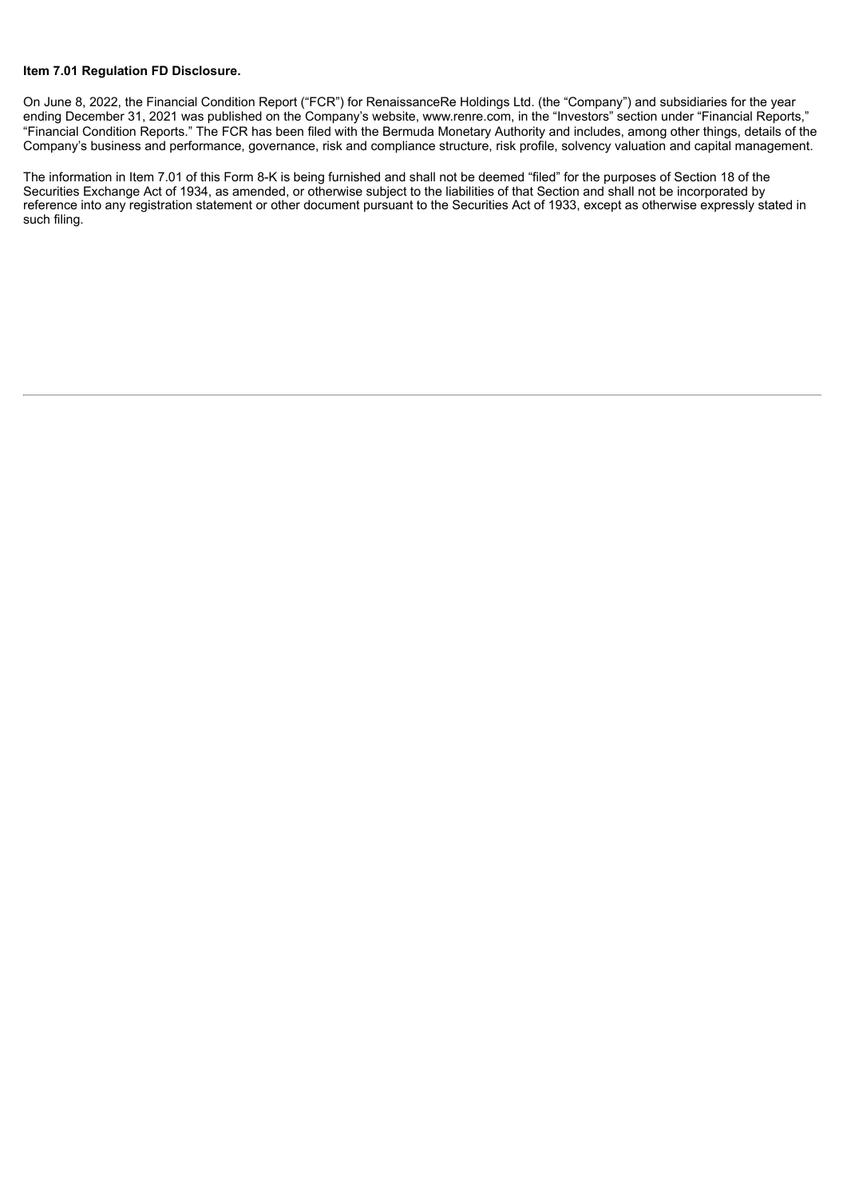#### **Item 7.01 Regulation FD Disclosure.**

On June 8, 2022, the Financial Condition Report ("FCR") for RenaissanceRe Holdings Ltd. (the "Company") and subsidiaries for the year ending December 31, 2021 was published on the Company's website, www.renre.com, in the "Investors" section under "Financial Reports," "Financial Condition Reports." The FCR has been filed with the Bermuda Monetary Authority and includes, among other things, details of the Company's business and performance, governance, risk and compliance structure, risk profile, solvency valuation and capital management.

The information in Item 7.01 of this Form 8-K is being furnished and shall not be deemed "filed" for the purposes of Section 18 of the Securities Exchange Act of 1934, as amended, or otherwise subject to the liabilities of that Section and shall not be incorporated by reference into any registration statement or other document pursuant to the Securities Act of 1933, except as otherwise expressly stated in such filing.